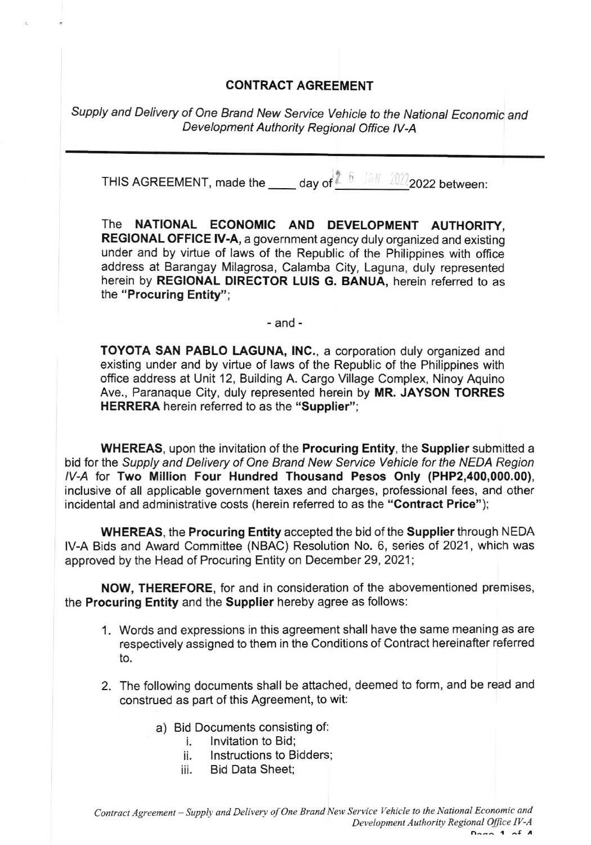## CONTRACT AGREEMENT

Supply and Delivery of One Brand New Service Vehicle to the National Economic and Development Authority Regional Office IV-A

THIS AGREEMENT, made the \_\_\_\_\_ day of  $2^{6}$  JAN 2022 q222 between:

The NATIONAL ECONOMIC AND DEVELOPMENT AUTHORITY, REGIONAL OFFICE lV-A, a government agency duly organized and existing under and by virtue of laws of the Republic of the Philippines with office address at Barangay Milagrosa, Calamba City, Laguna, duly represented herein by REGIONAL DIRECTOR LUIS G. BANUA, herein referred to as the "Procuring Entity";

-and-

TOYOTA SAN PABLO LAGUNA, lNC., a corporation duly organized and existing under and by virtue of laws of the Republic of the Philippines with office address at Unit 12, Building A. Cargo Village Complex, Ninoy Aquino Ave., Paranaque City, duly represented herein by MR. JAYSON TORRES HERRERA herein referred to as the "Supplier";

WHEREAS, upon the invitation of the Procuring Entity, the Supplier submitted a bid for the Supply and Delivery of One Brand New Service Vehicle for the NEDA Region lV-A tor Two Million Four Hundred Thousand Pesos Only (PHP2,400,000.00), inclusive of all applicable government taxes and charges, professional fees, and other incidental and administrative costs (herein referred to as the "Contract Price");

WHEREAS, the Procuring Entity accepted the bid of the Supplier through NEDA lV-A Bids and Award Committee (NBAC) Resolution No. 6, series ot 2021, which was approved by the Head of Procuring Entity on December 29,2021;

NOW, THEREFORE, for and in consideration of the abovementioned premises, the Procuring Entity and the Supplier hereby agree as follows:

- 1. Words and expressions in this agreement shall have the same meaning as are respectively assigned to them in the Conditions of Contract hereinafter referred to.
- 2. The following documents shall be attached, deemed to form, and be read and construed as part of this Agreement, to wit:
	- a) Bid Documents consisting of:
		- i. Invitation to Bid;<br>ii. Instructions to Bi
		- ii. Instructions to Bidders;<br>iii. Bid Data Sheet:
		- Bid Data Sheet;